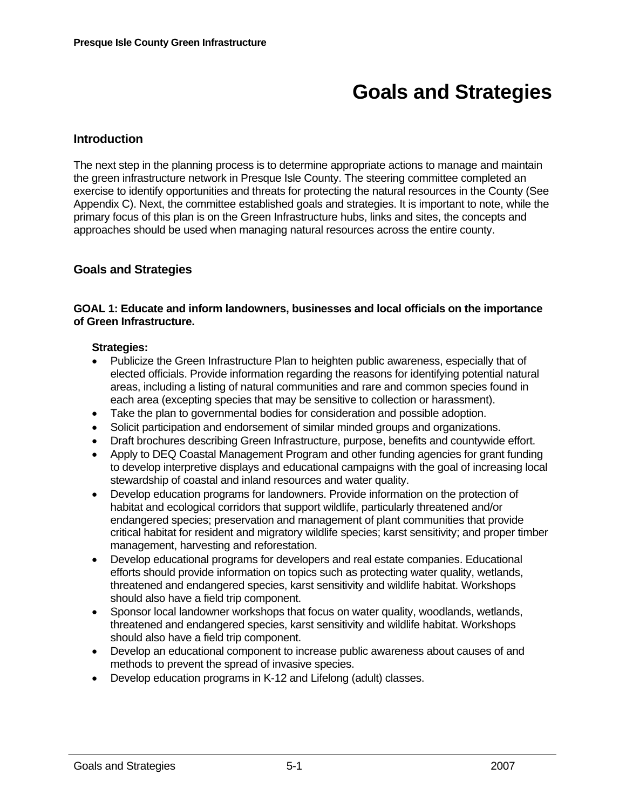# **Goals and Strategies**

# **Introduction**

The next step in the planning process is to determine appropriate actions to manage and maintain the green infrastructure network in Presque Isle County. The steering committee completed an exercise to identify opportunities and threats for protecting the natural resources in the County (See Appendix C). Next, the committee established goals and strategies. It is important to note, while the primary focus of this plan is on the Green Infrastructure hubs, links and sites, the concepts and approaches should be used when managing natural resources across the entire county.

# **Goals and Strategies**

#### **GOAL 1: Educate and inform landowners, businesses and local officials on the importance of Green Infrastructure.**

- Publicize the Green Infrastructure Plan to heighten public awareness, especially that of elected officials. Provide information regarding the reasons for identifying potential natural areas, including a listing of natural communities and rare and common species found in each area (excepting species that may be sensitive to collection or harassment).
- Take the plan to governmental bodies for consideration and possible adoption.
- Solicit participation and endorsement of similar minded groups and organizations.
- Draft brochures describing Green Infrastructure, purpose, benefits and countywide effort.
- Apply to DEQ Coastal Management Program and other funding agencies for grant funding to develop interpretive displays and educational campaigns with the goal of increasing local stewardship of coastal and inland resources and water quality.
- Develop education programs for landowners. Provide information on the protection of habitat and ecological corridors that support wildlife, particularly threatened and/or endangered species; preservation and management of plant communities that provide critical habitat for resident and migratory wildlife species; karst sensitivity; and proper timber management, harvesting and reforestation.
- Develop educational programs for developers and real estate companies. Educational efforts should provide information on topics such as protecting water quality, wetlands, threatened and endangered species, karst sensitivity and wildlife habitat. Workshops should also have a field trip component.
- Sponsor local landowner workshops that focus on water quality, woodlands, wetlands, threatened and endangered species, karst sensitivity and wildlife habitat. Workshops should also have a field trip component.
- Develop an educational component to increase public awareness about causes of and methods to prevent the spread of invasive species.
- Develop education programs in K-12 and Lifelong (adult) classes.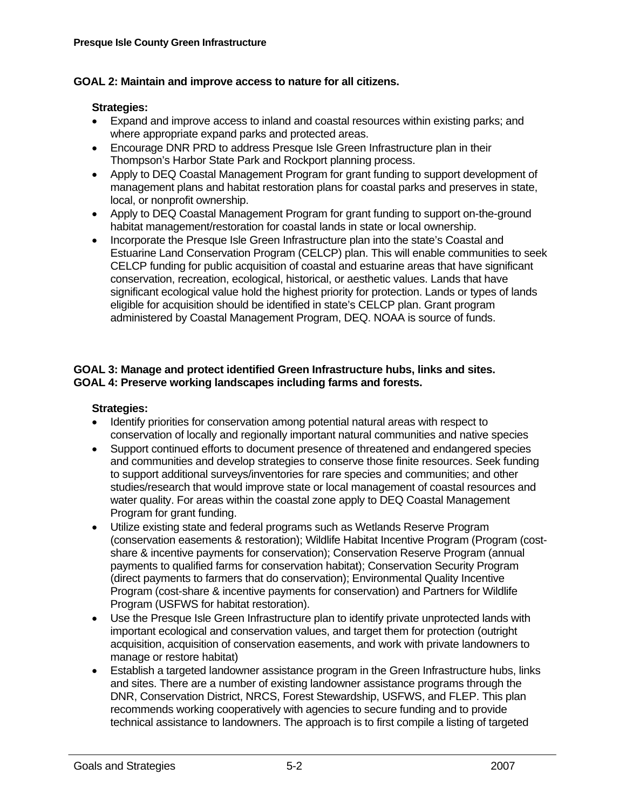## **GOAL 2: Maintain and improve access to nature for all citizens.**

## **Strategies:**

- Expand and improve access to inland and coastal resources within existing parks; and where appropriate expand parks and protected areas.
- Encourage DNR PRD to address Presque Isle Green Infrastructure plan in their Thompson's Harbor State Park and Rockport planning process.
- Apply to DEQ Coastal Management Program for grant funding to support development of management plans and habitat restoration plans for coastal parks and preserves in state, local, or nonprofit ownership.
- Apply to DEQ Coastal Management Program for grant funding to support on-the-ground habitat management/restoration for coastal lands in state or local ownership.
- Incorporate the Presque Isle Green Infrastructure plan into the state's Coastal and Estuarine Land Conservation Program (CELCP) plan. This will enable communities to seek CELCP funding for public acquisition of coastal and estuarine areas that have significant conservation, recreation, ecological, historical, or aesthetic values. Lands that have significant ecological value hold the highest priority for protection. Lands or types of lands eligible for acquisition should be identified in state's CELCP plan. Grant program administered by Coastal Management Program, DEQ. NOAA is source of funds.

#### **GOAL 3: Manage and protect identified Green Infrastructure hubs, links and sites. GOAL 4: Preserve working landscapes including farms and forests.**

- Identify priorities for conservation among potential natural areas with respect to conservation of locally and regionally important natural communities and native species
- Support continued efforts to document presence of threatened and endangered species and communities and develop strategies to conserve those finite resources. Seek funding to support additional surveys/inventories for rare species and communities; and other studies/research that would improve state or local management of coastal resources and water quality. For areas within the coastal zone apply to DEQ Coastal Management Program for grant funding.
- Utilize existing state and federal programs such as Wetlands Reserve Program (conservation easements & restoration); Wildlife Habitat Incentive Program (Program (costshare & incentive payments for conservation); Conservation Reserve Program (annual payments to qualified farms for conservation habitat); Conservation Security Program (direct payments to farmers that do conservation); Environmental Quality Incentive Program (cost-share & incentive payments for conservation) and Partners for Wildlife Program (USFWS for habitat restoration).
- Use the Presque Isle Green Infrastructure plan to identify private unprotected lands with important ecological and conservation values, and target them for protection (outright acquisition, acquisition of conservation easements, and work with private landowners to manage or restore habitat)
- Establish a targeted landowner assistance program in the Green Infrastructure hubs, links and sites. There are a number of existing landowner assistance programs through the DNR, Conservation District, NRCS, Forest Stewardship, USFWS, and FLEP. This plan recommends working cooperatively with agencies to secure funding and to provide technical assistance to landowners. The approach is to first compile a listing of targeted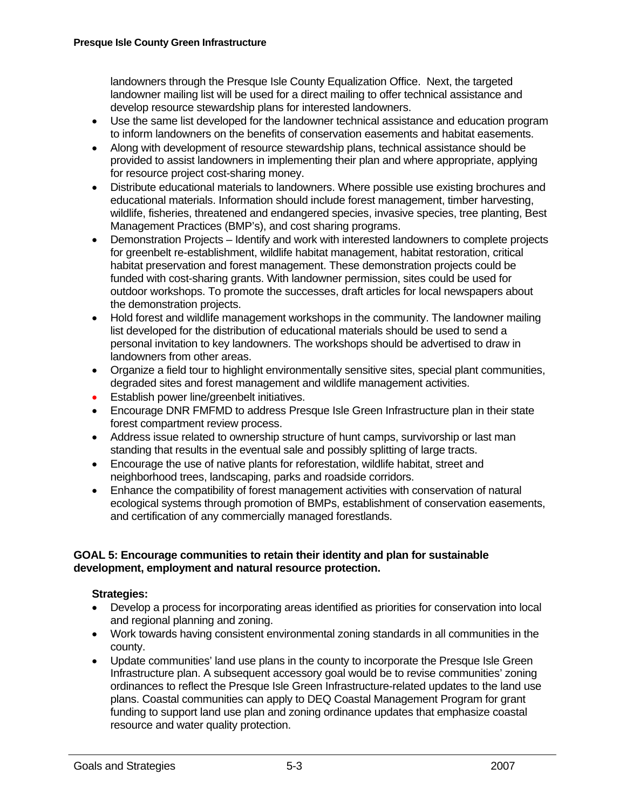landowners through the Presque Isle County Equalization Office. Next, the targeted landowner mailing list will be used for a direct mailing to offer technical assistance and develop resource stewardship plans for interested landowners.

- Use the same list developed for the landowner technical assistance and education program to inform landowners on the benefits of conservation easements and habitat easements.
- Along with development of resource stewardship plans, technical assistance should be provided to assist landowners in implementing their plan and where appropriate, applying for resource project cost-sharing money.
- Distribute educational materials to landowners. Where possible use existing brochures and educational materials. Information should include forest management, timber harvesting, wildlife, fisheries, threatened and endangered species, invasive species, tree planting, Best Management Practices (BMP's), and cost sharing programs.
- Demonstration Projects Identify and work with interested landowners to complete projects for greenbelt re-establishment, wildlife habitat management, habitat restoration, critical habitat preservation and forest management. These demonstration projects could be funded with cost-sharing grants. With landowner permission, sites could be used for outdoor workshops. To promote the successes, draft articles for local newspapers about the demonstration projects.
- Hold forest and wildlife management workshops in the community. The landowner mailing list developed for the distribution of educational materials should be used to send a personal invitation to key landowners. The workshops should be advertised to draw in landowners from other areas.
- Organize a field tour to highlight environmentally sensitive sites, special plant communities, degraded sites and forest management and wildlife management activities.
- Establish power line/greenbelt initiatives.
- Encourage DNR FMFMD to address Presque Isle Green Infrastructure plan in their state forest compartment review process.
- Address issue related to ownership structure of hunt camps, survivorship or last man standing that results in the eventual sale and possibly splitting of large tracts.
- Encourage the use of native plants for reforestation, wildlife habitat, street and neighborhood trees, landscaping, parks and roadside corridors.
- Enhance the compatibility of forest management activities with conservation of natural ecological systems through promotion of BMPs, establishment of conservation easements, and certification of any commercially managed forestlands.

#### **GOAL 5: Encourage communities to retain their identity and plan for sustainable development, employment and natural resource protection.**

- Develop a process for incorporating areas identified as priorities for conservation into local and regional planning and zoning.
- Work towards having consistent environmental zoning standards in all communities in the county.
- Update communities' land use plans in the county to incorporate the Presque Isle Green Infrastructure plan. A subsequent accessory goal would be to revise communities' zoning ordinances to reflect the Presque Isle Green Infrastructure-related updates to the land use plans. Coastal communities can apply to DEQ Coastal Management Program for grant funding to support land use plan and zoning ordinance updates that emphasize coastal resource and water quality protection.